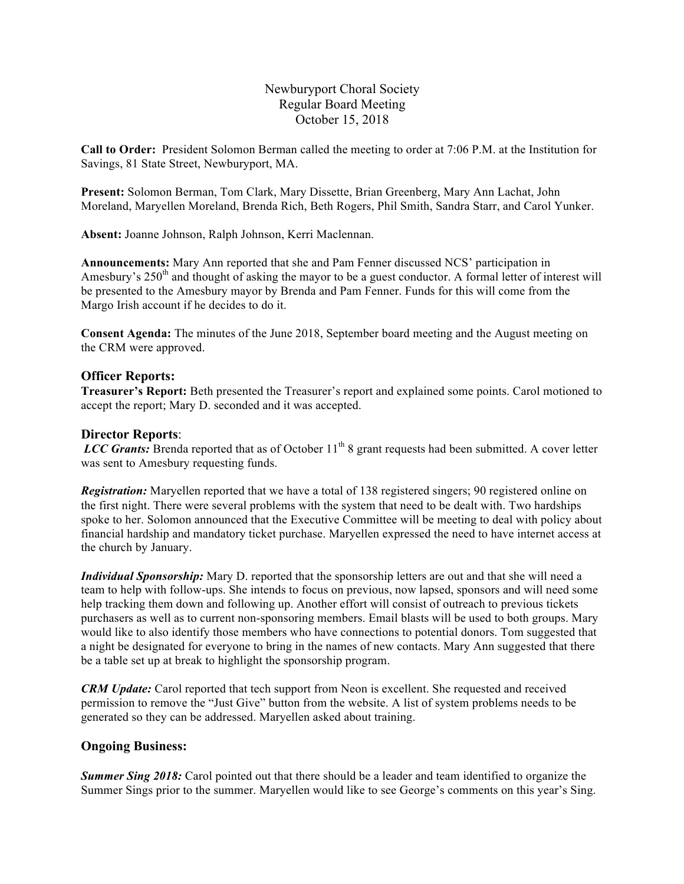Newburyport Choral Society Regular Board Meeting October 15, 2018

**Call to Order:** President Solomon Berman called the meeting to order at 7:06 P.M. at the Institution for Savings, 81 State Street, Newburyport, MA.

**Present:** Solomon Berman, Tom Clark, Mary Dissette, Brian Greenberg, Mary Ann Lachat, John Moreland, Maryellen Moreland, Brenda Rich, Beth Rogers, Phil Smith, Sandra Starr, and Carol Yunker.

**Absent:** Joanne Johnson, Ralph Johnson, Kerri Maclennan.

**Announcements:** Mary Ann reported that she and Pam Fenner discussed NCS' participation in Amesbury's 250<sup>th</sup> and thought of asking the mayor to be a guest conductor. A formal letter of interest will be presented to the Amesbury mayor by Brenda and Pam Fenner. Funds for this will come from the Margo Irish account if he decides to do it.

**Consent Agenda:** The minutes of the June 2018, September board meeting and the August meeting on the CRM were approved.

## **Officer Reports:**

**Treasurer's Report:** Beth presented the Treasurer's report and explained some points. Carol motioned to accept the report; Mary D. seconded and it was accepted.

## **Director Reports**:

*LCC Grants:* Brenda reported that as of October 11<sup>th</sup> 8 grant requests had been submitted. A cover letter was sent to Amesbury requesting funds.

*Registration:* Maryellen reported that we have a total of 138 registered singers; 90 registered online on the first night. There were several problems with the system that need to be dealt with. Two hardships spoke to her. Solomon announced that the Executive Committee will be meeting to deal with policy about financial hardship and mandatory ticket purchase. Maryellen expressed the need to have internet access at the church by January.

*Individual Sponsorship:* Mary D. reported that the sponsorship letters are out and that she will need a team to help with follow-ups. She intends to focus on previous, now lapsed, sponsors and will need some help tracking them down and following up. Another effort will consist of outreach to previous tickets purchasers as well as to current non-sponsoring members. Email blasts will be used to both groups. Mary would like to also identify those members who have connections to potential donors. Tom suggested that a night be designated for everyone to bring in the names of new contacts. Mary Ann suggested that there be a table set up at break to highlight the sponsorship program.

*CRM Update:* Carol reported that tech support from Neon is excellent. She requested and received permission to remove the "Just Give" button from the website. A list of system problems needs to be generated so they can be addressed. Maryellen asked about training.

#### **Ongoing Business:**

**Summer Sing 2018:** Carol pointed out that there should be a leader and team identified to organize the Summer Sings prior to the summer. Maryellen would like to see George's comments on this year's Sing.